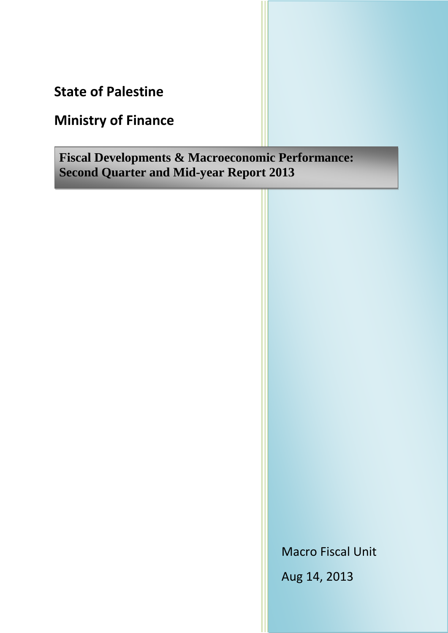**State of Palestine**

# **Ministry of Finance**

**Fiscal Developments & Macroeconomic Performance: Second Quarter and Mid-year Report 2013**

Macro Fiscal Unit

Aug 14, 2013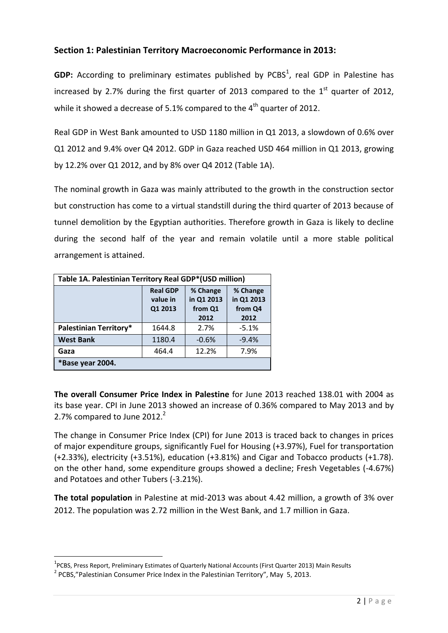## **Section 1: Palestinian Territory Macroeconomic Performance in 2013:**

GDP: According to preliminary estimates published by PCBS<sup>1</sup>, real GDP in Palestine has increased by 2.7% during the first quarter of 2013 compared to the  $1<sup>st</sup>$  quarter of 2012, while it showed a decrease of 5.1% compared to the  $4<sup>th</sup>$  quarter of 2012.

Real GDP in West Bank amounted to USD 1180 million in Q1 2013, a slowdown of 0.6% over Q1 2012 and 9.4% over Q4 2012. GDP in Gaza reached USD 464 million in Q1 2013, growing by 12.2% over Q1 2012, and by 8% over Q4 2012 (Table 1A).

The nominal growth in Gaza was mainly attributed to the growth in the construction sector but construction has come to a virtual standstill during the third quarter of 2013 because of tunnel demolition by the Egyptian authorities. Therefore growth in Gaza is likely to decline during the second half of the year and remain volatile until a more stable political arrangement is attained.

| Table 1A. Palestinian Territory Real GDP*(USD million) |                                                                                                                                  |         |         |  |  |  |
|--------------------------------------------------------|----------------------------------------------------------------------------------------------------------------------------------|---------|---------|--|--|--|
|                                                        | % Change<br>% Change<br><b>Real GDP</b><br>in Q1 2013<br>in Q1 2013<br>value in<br>Q1 2013<br>from Q4<br>from Q1<br>2012<br>2012 |         |         |  |  |  |
| <b>Palestinian Territory*</b>                          | 1644.8                                                                                                                           | 2.7%    | $-5.1%$ |  |  |  |
| <b>West Bank</b>                                       | 1180.4                                                                                                                           | $-0.6%$ | $-9.4%$ |  |  |  |
| Gaza                                                   | 464.4                                                                                                                            | 12.2%   | 7.9%    |  |  |  |
| *Base year 2004.                                       |                                                                                                                                  |         |         |  |  |  |

**The overall Consumer Price Index in Palestine** for June 2013 reached 138.01 with 2004 as its base year. CPI in June 2013 showed an increase of 0.36% compared to May 2013 and by 2.7% compared to June 2012.<sup>2</sup>

The change in Consumer Price Index (CPI) for June 2013 is traced back to changes in prices of major expenditure groups, significantly Fuel for Housing (+3.97%), Fuel for transportation (+2.33%), electricity (+3.51%), education (+3.81%) and Cigar and Tobacco products (+1.78). on the other hand, some expenditure groups showed a decline; Fresh Vegetables (-4.67%) and Potatoes and other Tubers (-3.21%).

**The total population** in Palestine at mid-2013 was about 4.42 million, a growth of 3% over 2012. The population was 2.72 million in the West Bank, and 1.7 million in Gaza.

 $\overline{a}$ 

<sup>&</sup>lt;sup>1</sup>PCBS, Press Report, Preliminary Estimates of Quarterly National Accounts (First Quarter 2013) Main Results

 $2$  PCBS,"Palestinian Consumer Price Index in the Palestinian Territory", May 5, 2013.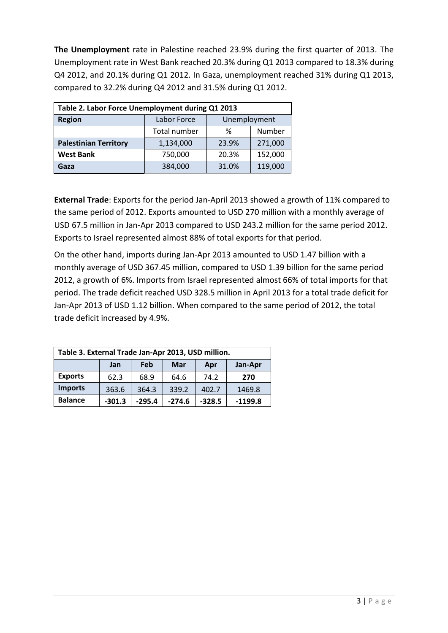**The Unemployment** rate in Palestine reached 23.9% during the first quarter of 2013. The Unemployment rate in West Bank reached 20.3% during Q1 2013 compared to 18.3% during Q4 2012, and 20.1% during Q1 2012. In Gaza, unemployment reached 31% during Q1 2013, compared to 32.2% during Q4 2012 and 31.5% during Q1 2012.

| Table 2. Labor Force Unemployment during Q1 2013 |                             |       |         |  |
|--------------------------------------------------|-----------------------------|-------|---------|--|
| <b>Region</b>                                    | Labor Force<br>Unemployment |       |         |  |
|                                                  | Total number                | ℅     | Number  |  |
| <b>Palestinian Territory</b>                     | 1,134,000                   | 23.9% | 271,000 |  |
| <b>West Bank</b>                                 | 750,000                     | 20.3% | 152,000 |  |
| Gaza                                             | 384,000                     | 31.0% | 119,000 |  |

**External Trade**: Exports for the period Jan-April 2013 showed a growth of 11% compared to the same period of 2012. Exports amounted to USD 270 million with a monthly average of USD 67.5 million in Jan-Apr 2013 compared to USD 243.2 million for the same period 2012. Exports to Israel represented almost 88% of total exports for that period.

On the other hand, imports during Jan-Apr 2013 amounted to USD 1.47 billion with a monthly average of USD 367.45 million, compared to USD 1.39 billion for the same period 2012, a growth of 6%. Imports from Israel represented almost 66% of total imports for that period. The trade deficit reached USD 328.5 million in April 2013 for a total trade deficit for Jan-Apr 2013 of USD 1.12 billion. When compared to the same period of 2012, the total trade deficit increased by 4.9%.

| Table 3. External Trade Jan-Apr 2013, USD million. |          |          |          |          |           |
|----------------------------------------------------|----------|----------|----------|----------|-----------|
|                                                    | Jan      | Feb      | Mar      | Apr      | Jan-Apr   |
| <b>Exports</b>                                     | 62.3     | 68.9     | 64.6     | 74.2     | 270       |
| <b>Imports</b>                                     | 363.6    | 364.3    | 339.2    | 402.7    | 1469.8    |
| <b>Balance</b>                                     | $-301.3$ | $-295.4$ | $-274.6$ | $-328.5$ | $-1199.8$ |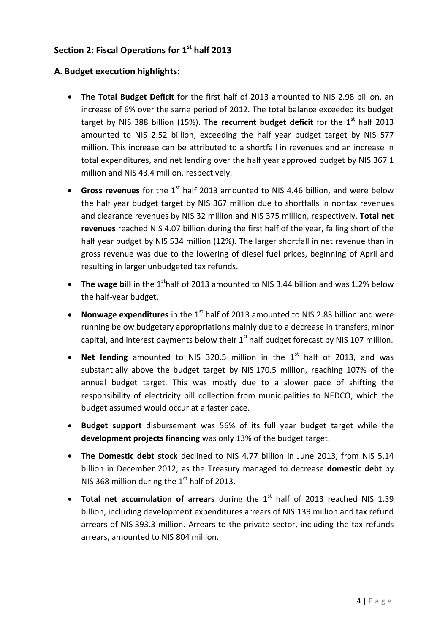## **Section 2: Fiscal Operations for 1 st half 2013**

## **A. Budget execution highlights:**

- **The Total Budget Deficit** for the first half of 2013 amounted to NIS 2.98 billion, an increase of 6% over the same period of 2012. The total balance exceeded its budget target by NIS 388 billion (15%). The recurrent budget deficit for the 1<sup>st</sup> half 2013 amounted to NIS 2.52 billion, exceeding the half year budget target by NIS 577 million. This increase can be attributed to a shortfall in revenues and an increase in total expenditures, and net lending over the half year approved budget by NIS 367.1 million and NIS 43.4 million, respectively.
- Gross revenues for the 1<sup>st</sup> half 2013 amounted to NIS 4.46 billion, and were below the half year budget target by NIS 367 million due to shortfalls in nontax revenues and clearance revenues by NIS 32 million and NIS 375 million, respectively. **Total net revenues** reached NIS 4.07 billion during the first half of the year, falling short of the half year budget by NIS 534 million (12%). The larger shortfall in net revenue than in gross revenue was due to the lowering of diesel fuel prices, beginning of April and resulting in larger unbudgeted tax refunds.
- **The wage bill** in the 1<sup>st</sup>half of 2013 amounted to NIS 3.44 billion and was 1.2% below the half-year budget.
- Nonwage expenditures in the 1<sup>st</sup> half of 2013 amounted to NIS 2.83 billion and were running below budgetary appropriations mainly due to a decrease in transfers, minor capital, and interest payments below their  $1<sup>st</sup>$  half budget forecast by NIS 107 million.
- Net lending amounted to NIS 320.5 million in the 1<sup>st</sup> half of 2013, and was substantially above the budget target by NIS 170.5 million, reaching 107% of the annual budget target. This was mostly due to a slower pace of shifting the responsibility of electricity bill collection from municipalities to NEDCO, which the budget assumed would occur at a faster pace.
- **Budget support** disbursement was 56% of its full year budget target while the **development projects financing** was only 13% of the budget target.
- **The Domestic debt stock** declined to NIS 4.77 billion in June 2013, from NIS 5.14 billion in December 2012, as the Treasury managed to decrease **domestic debt** by NIS 368 million during the  $1<sup>st</sup>$  half of 2013.
- Total net accumulation of arrears during the 1<sup>st</sup> half of 2013 reached NIS 1.39 billion, including development expenditures arrears of NIS 139 million and tax refund arrears of NIS 393.3 million. Arrears to the private sector, including the tax refunds arrears, amounted to NIS 804 million.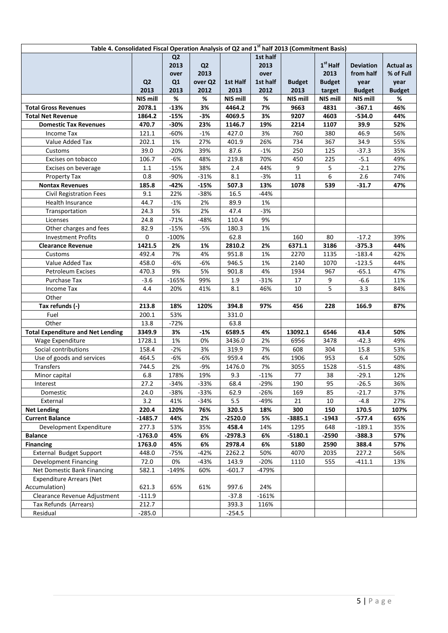| Table 4. Consolidated Fiscal Operation Analysis of Q2 and 1 <sup>st</sup> half 2013 (Commitment Basis) |                |                |                |           |          |               |               |                  |                  |
|--------------------------------------------------------------------------------------------------------|----------------|----------------|----------------|-----------|----------|---------------|---------------|------------------|------------------|
|                                                                                                        |                | Q <sub>2</sub> |                |           | 1st half |               |               |                  |                  |
|                                                                                                        |                | 2013           | Q <sub>2</sub> |           | 2013     |               | $1st$ Half    | <b>Deviation</b> | <b>Actual as</b> |
|                                                                                                        |                | over           | 2013           |           | over     |               | 2013          | from half        | % of Full        |
|                                                                                                        | Q <sub>2</sub> | Q1             | over Q2        | 1st Half  | 1st half | <b>Budget</b> | <b>Budget</b> | year             | year             |
|                                                                                                        | 2013           | 2013           | 2012           | 2013      | 2012     | 2013          | target        | <b>Budget</b>    | <b>Budget</b>    |
|                                                                                                        | NIS mill       | %              | %              | NIS mill  | %        | NIS mill      | NIS mill      | NIS mill         | %                |
| <b>Total Gross Revenues</b>                                                                            | 2078.1         | $-13%$         | 3%             | 4464.2    | 7%       | 9663          | 4831          | $-367.1$         | 46%              |
| <b>Total Net Revenue</b>                                                                               | 1864.2         | $-15%$         | $-3%$          | 4069.5    | 3%       | 9207          | 4603          | $-534.0$         | 44%              |
| <b>Domestic Tax Revenues</b>                                                                           | 470.7          | $-30%$         | 23%            | 1146.7    | 19%      | 2214          | 1107          | 39.9             | 52%              |
| Income Tax                                                                                             | 121.1          | $-60%$         | $-1%$          | 427.0     | 3%       | 760           | 380           | 46.9             | 56%              |
| Value Added Tax                                                                                        | 202.1          | 1%             | 27%            | 401.9     | 26%      | 734           | 367           | 34.9             | 55%              |
| Customs                                                                                                | 39.0           | $-20%$         | 39%            | 87.6      | $-1%$    | 250           | 125           | $-37.3$          | 35%              |
| Excises on tobacco                                                                                     | 106.7          | $-6%$          | 48%            | 219.8     | 70%      | 450           | 225           | $-5.1$           | 49%              |
| Excises on beverage                                                                                    | $1.1\,$        | $-15%$         | 38%            | 2.4       | 44%      | 9             | 5             | $-2.1$           | 27%              |
| Property Tax                                                                                           | 0.8            | -90%           | $-31%$         | 8.1       | $-3%$    | 11            | 6             | 2.6              | 74%              |
| <b>Nontax Revenues</b>                                                                                 | 185.8          | $-42%$         | $-15%$         | 507.3     | 13%      | 1078          | 539           | $-31.7$          | 47%              |
| <b>Civil Registration Fees</b>                                                                         | 9.1            | 22%            | $-38%$         | 16.5      | -44%     |               |               |                  |                  |
| Health Insurance                                                                                       | 44.7           | $-1%$          | 2%             | 89.9      | 1%       |               |               |                  |                  |
| Transportation                                                                                         | 24.3           | 5%             | 2%             | 47.4      | -3%      |               |               |                  |                  |
| Licenses                                                                                               | 24.8           | $-71%$         | -48%           | 110.4     | 9%       |               |               |                  |                  |
| Other charges and fees                                                                                 | 82.9           | $-15%$         | $-5%$          | 180.3     | 1%       |               |               |                  |                  |
| <b>Investment Profits</b>                                                                              | 0              | $-100%$        |                | 62.8      |          | 160           | 80            | $-17.2$          | 39%              |
| <b>Clearance Revenue</b>                                                                               | 1421.5         | 2%             | 1%             | 2810.2    | 2%       | 6371.1        | 3186          | $-375.3$         | 44%              |
| Customs                                                                                                | 492.4          | 7%             | 4%             | 951.8     | 1%       | 2270          | 1135          | $-183.4$         | 42%              |
| Value Added Tax                                                                                        | 458.0          | $-6%$          | -6%            | 946.5     | 1%       | 2140          | 1070          | $-123.5$         | 44%              |
| Petroleum Excises                                                                                      | 470.3          | 9%             | 5%             | 901.8     | 4%       | 1934          | 967           | $-65.1$          | 47%              |
| Purchase Tax                                                                                           | $-3.6$         | $-165%$        | 99%            | 1.9       | $-31%$   | 17            | 9             | -6.6             | 11%              |
| Income Tax                                                                                             | 4.4            | 20%            | 41%            | 8.1       | 46%      | 10            | 5             | 3.3              | 84%              |
| Other                                                                                                  |                |                |                |           |          |               |               |                  |                  |
| Tax refunds (-)                                                                                        | 213.8          | 18%            | 120%           | 394.8     | 97%      | 456           | 228           | 166.9            | 87%              |
| Fuel                                                                                                   | 200.1          | 53%            |                | 331.0     |          |               |               |                  |                  |
| Other                                                                                                  | 13.8           | -72%           |                | 63.8      |          |               |               |                  |                  |
| <b>Total Expenditure and Net Lending</b>                                                               | 3349.9         | 3%             | -1%            | 6589.5    | 4%       | 13092.1       | 6546          | 43.4             | 50%              |
| Wage Expenditure                                                                                       | 1728.1         | 1%             | 0%             | 3436.0    | 2%       | 6956          | 3478          | $-42.3$          | 49%              |
| Social contributions                                                                                   | 158.4          | $-2%$          | 3%             | 319.9     | 7%       | 608           | 304           | 15.8             | 53%              |
| Use of goods and services                                                                              | 464.5          | $-6%$          | $-6%$          | 959.4     | 4%       | 1906          | 953           | 6.4              | 50%              |
| Transfers                                                                                              | 744.5          | 2%             | $-9%$          | 1476.0    | 7%       | 3055          | 1528          | $-51.5$          | 48%              |
| Minor capital                                                                                          | 6.8            | 178%           | 19%            | 9.3       | $-11%$   | 77            | 38            | $-29.1$          | 12%              |
| Interest                                                                                               | 27.2           | $-34%$         | $-33%$         | 68.4      | $-29%$   | 190           | 95            | $-26.5$          | 36%              |
| Domestic                                                                                               | 24.0           | $-38%$         | $-33%$         | 62.9      | $-26%$   | 169           | 85            | -21.7            | 37%              |
| External                                                                                               | 3.2            | 41%            | $-34%$         | 5.5       | -49%     | 21            | 10            | $-4.8$           | 27%              |
| <b>Net Lending</b>                                                                                     | 220.4          | 120%           | 76%            | 320.5     | 18%      | 300           | 150           | 170.5            | 107%             |
| <b>Current Balance</b>                                                                                 | $-1485.7$      | 44%            | 2%             | -2520.0   | 5%       | $-3885.1$     | $-1943$       | $-577.4$         | 65%              |
| Development Expenditure                                                                                | 277.3          | 53%            | 35%            | 458.4     | 14%      | 1295          | 648           | $-189.1$         | 35%              |
| <b>Balance</b>                                                                                         | $-1763.0$      | 45%            | 6%             | $-2978.3$ | 6%       | $-5180.1$     | $-2590$       | $-388.3$         | 57%              |
| <b>Financing</b>                                                                                       | 1763.0         | 45%            | 6%             | 2978.4    | 6%       | 5180          | 2590          | 388.4            | 57%              |
| External Budget Support                                                                                | 448.0          | $-75%$         | -42%           | 2262.2    | 50%      | 4070          | 2035          | 227.2            | 56%              |
| Development Financing                                                                                  | 72.0           | 0%             | $-43%$         | 143.9     | $-20%$   | 1110          | 555           | $-411.1$         | 13%              |
| Net Domestic Bank Financing                                                                            | 582.1          | $-149%$        | 60%            | $-601.7$  | -479%    |               |               |                  |                  |
| <b>Expenditure Arrears (Net</b>                                                                        |                |                |                |           |          |               |               |                  |                  |
| Accumulation)                                                                                          | 621.3          | 65%            | 61%            | 997.6     | 24%      |               |               |                  |                  |
| Clearance Revenue Adjustment                                                                           | $-111.9$       |                |                | $-37.8$   | $-161%$  |               |               |                  |                  |
| Tax Refunds (Arrears)                                                                                  | 212.7          |                |                | 393.3     | 116%     |               |               |                  |                  |
| Residual                                                                                               | $-285.0$       |                |                | $-254.5$  |          |               |               |                  |                  |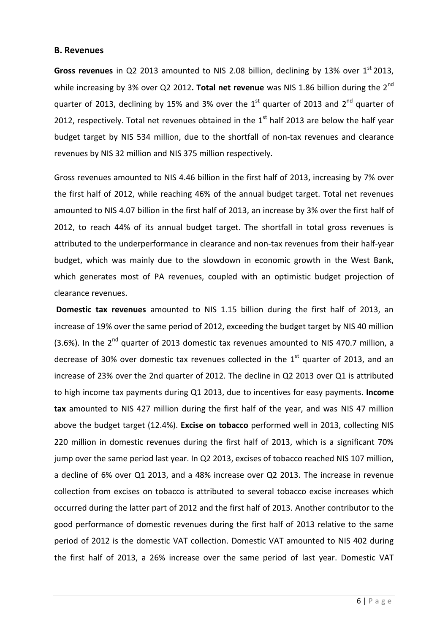#### **B. Revenues**

Gross revenues in Q2 2013 amounted to NIS 2.08 billion, declining by 13% over 1<sup>st</sup> 2013, while increasing by 3% over Q2 2012. Total net revenue was NIS 1.86 billion during the 2<sup>nd</sup> quarter of 2013, declining by 15% and 3% over the  $1<sup>st</sup>$  quarter of 2013 and 2<sup>nd</sup> quarter of 2012, respectively. Total net revenues obtained in the  $1<sup>st</sup>$  half 2013 are below the half year budget target by NIS 534 million, due to the shortfall of non-tax revenues and clearance revenues by NIS 32 million and NIS 375 million respectively.

Gross revenues amounted to NIS 4.46 billion in the first half of 2013, increasing by 7% over the first half of 2012, while reaching 46% of the annual budget target. Total net revenues amounted to NIS 4.07 billion in the first half of 2013, an increase by 3% over the first half of 2012, to reach 44% of its annual budget target. The shortfall in total gross revenues is attributed to the underperformance in clearance and non-tax revenues from their half-year budget, which was mainly due to the slowdown in economic growth in the West Bank, which generates most of PA revenues, coupled with an optimistic budget projection of clearance revenues.

**Domestic tax revenues** amounted to NIS 1.15 billion during the first half of 2013, an increase of 19% over the same period of 2012, exceeding the budget target by NIS 40 million (3.6%). In the  $2^{nd}$  quarter of 2013 domestic tax revenues amounted to NIS 470.7 million, a decrease of 30% over domestic tax revenues collected in the  $1<sup>st</sup>$  quarter of 2013, and an increase of 23% over the 2nd quarter of 2012. The decline in Q2 2013 over Q1 is attributed to high income tax payments during Q1 2013, due to incentives for easy payments. **Income tax** amounted to NIS 427 million during the first half of the year, and was NIS 47 million above the budget target (12.4%). **Excise on tobacco** performed well in 2013, collecting NIS 220 million in domestic revenues during the first half of 2013, which is a significant 70% jump over the same period last year. In Q2 2013, excises of tobacco reached NIS 107 million, a decline of 6% over Q1 2013, and a 48% increase over Q2 2013. The increase in revenue collection from excises on tobacco is attributed to several tobacco excise increases which occurred during the latter part of 2012 and the first half of 2013. Another contributor to the good performance of domestic revenues during the first half of 2013 relative to the same period of 2012 is the domestic VAT collection. Domestic VAT amounted to NIS 402 during the first half of 2013, a 26% increase over the same period of last year. Domestic VAT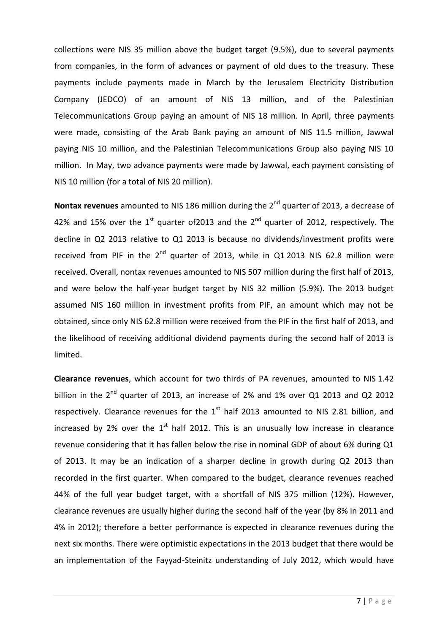collections were NIS 35 million above the budget target (9.5%), due to several payments from companies, in the form of advances or payment of old dues to the treasury. These payments include payments made in March by the Jerusalem Electricity Distribution Company (JEDCO) of an amount of NIS 13 million, and of the Palestinian Telecommunications Group paying an amount of NIS 18 million. In April, three payments were made, consisting of the Arab Bank paying an amount of NIS 11.5 million, Jawwal paying NIS 10 million, and the Palestinian Telecommunications Group also paying NIS 10 million. In May, two advance payments were made by Jawwal, each payment consisting of NIS 10 million (for a total of NIS 20 million).

**Nontax revenues** amounted to NIS 186 million during the 2nd quarter of 2013, a decrease of 42% and 15% over the  $1^{st}$  quarter of 2013 and the  $2^{nd}$  quarter of 2012, respectively. The decline in Q2 2013 relative to Q1 2013 is because no dividends/investment profits were received from PIF in the  $2^{nd}$  quarter of 2013, while in Q1 2013 NIS 62.8 million were received. Overall, nontax revenues amounted to NIS 507 million during the first half of 2013, and were below the half-year budget target by NIS 32 million (5.9%). The 2013 budget assumed NIS 160 million in investment profits from PIF, an amount which may not be obtained, since only NIS 62.8 million were received from the PIF in the first half of 2013, and the likelihood of receiving additional dividend payments during the second half of 2013 is limited.

**Clearance revenues**, which account for two thirds of PA revenues, amounted to NIS 1.42 billion in the 2<sup>nd</sup> quarter of 2013, an increase of 2% and 1% over Q1 2013 and Q2 2012 respectively. Clearance revenues for the  $1<sup>st</sup>$  half 2013 amounted to NIS 2.81 billion, and increased by 2% over the  $1<sup>st</sup>$  half 2012. This is an unusually low increase in clearance revenue considering that it has fallen below the rise in nominal GDP of about 6% during Q1 of 2013. It may be an indication of a sharper decline in growth during Q2 2013 than recorded in the first quarter. When compared to the budget, clearance revenues reached 44% of the full year budget target, with a shortfall of NIS 375 million (12%). However, clearance revenues are usually higher during the second half of the year (by 8% in 2011 and 4% in 2012); therefore a better performance is expected in clearance revenues during the next six months. There were optimistic expectations in the 2013 budget that there would be an implementation of the Fayyad-Steinitz understanding of July 2012, which would have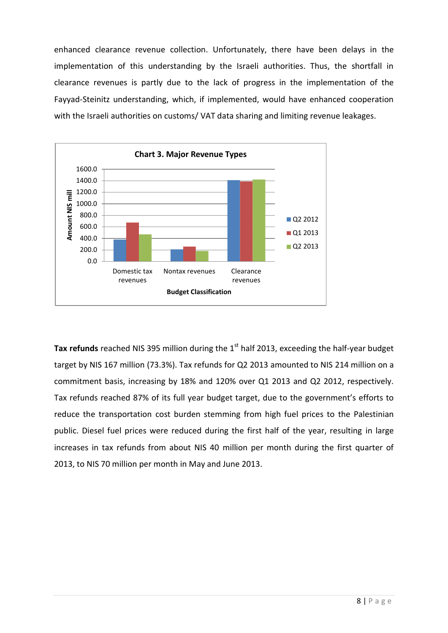enhanced clearance revenue collection. Unfortunately, there have been delays in the implementation of this understanding by the Israeli authorities. Thus, the shortfall in clearance revenues is partly due to the lack of progress in the implementation of the Fayyad-Steinitz understanding, which, if implemented, would have enhanced cooperation with the Israeli authorities on customs/ VAT data sharing and limiting revenue leakages.



Tax refunds reached NIS 395 million during the 1<sup>st</sup> half 2013, exceeding the half-year budget target by NIS 167 million (73.3%). Tax refunds for Q2 2013 amounted to NIS 214 million on a commitment basis, increasing by 18% and 120% over Q1 2013 and Q2 2012, respectively. Tax refunds reached 87% of its full year budget target, due to the government's efforts to reduce the transportation cost burden stemming from high fuel prices to the Palestinian public. Diesel fuel prices were reduced during the first half of the year, resulting in large increases in tax refunds from about NIS 40 million per month during the first quarter of 2013, to NIS 70 million per month in May and June 2013.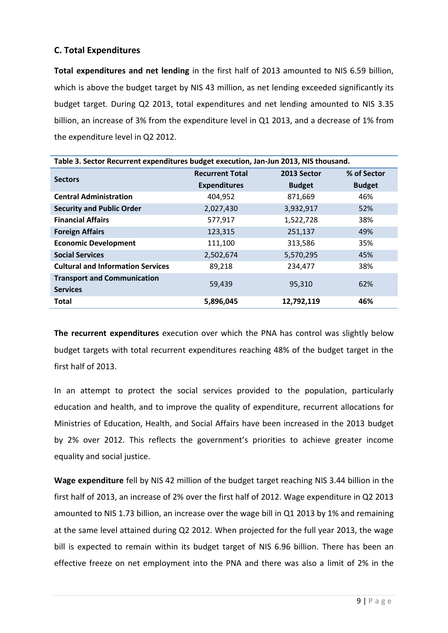## **C. Total Expenditures**

**Total expenditures and net lending** in the first half of 2013 amounted to NIS 6.59 billion, which is above the budget target by NIS 43 million, as net lending exceeded significantly its budget target. During Q2 2013, total expenditures and net lending amounted to NIS 3.35 billion, an increase of 3% from the expenditure level in Q1 2013, and a decrease of 1% from the expenditure level in Q2 2012.

| Table 3. Sector Recurrent expenditures budget execution, Jan-Jun 2013, NIS thousand. |                        |               |               |  |
|--------------------------------------------------------------------------------------|------------------------|---------------|---------------|--|
| <b>Sectors</b>                                                                       | <b>Recurrent Total</b> | 2013 Sector   | % of Sector   |  |
|                                                                                      | <b>Expenditures</b>    | <b>Budget</b> | <b>Budget</b> |  |
| <b>Central Administration</b>                                                        | 404,952                | 871,669       | 46%           |  |
| <b>Security and Public Order</b>                                                     | 2,027,430              | 3,932,917     | 52%           |  |
| <b>Financial Affairs</b>                                                             | 577,917                | 1,522,728     | 38%           |  |
| <b>Foreign Affairs</b>                                                               | 123,315                | 251,137       | 49%           |  |
| <b>Economic Development</b>                                                          | 111,100                | 313,586       | 35%           |  |
| <b>Social Services</b>                                                               | 2,502,674              | 5,570,295     | 45%           |  |
| <b>Cultural and Information Services</b>                                             | 89,218                 | 234,477       | 38%           |  |
| <b>Transport and Communication</b>                                                   | 59,439                 | 95,310        | 62%           |  |
| <b>Services</b>                                                                      |                        |               |               |  |
| <b>Total</b>                                                                         | 5,896,045              | 12,792,119    | 46%           |  |

**The recurrent expenditures** execution over which the PNA has control was slightly below budget targets with total recurrent expenditures reaching 48% of the budget target in the first half of 2013.

In an attempt to protect the social services provided to the population, particularly education and health, and to improve the quality of expenditure, recurrent allocations for Ministries of Education, Health, and Social Affairs have been increased in the 2013 budget by 2% over 2012. This reflects the government's priorities to achieve greater income equality and social justice.

**Wage expenditure** fell by NIS 42 million of the budget target reaching NIS 3.44 billion in the first half of 2013, an increase of 2% over the first half of 2012. Wage expenditure in Q2 2013 amounted to NIS 1.73 billion, an increase over the wage bill in Q1 2013 by 1% and remaining at the same level attained during Q2 2012. When projected for the full year 2013, the wage bill is expected to remain within its budget target of NIS 6.96 billion. There has been an effective freeze on net employment into the PNA and there was also a limit of 2% in the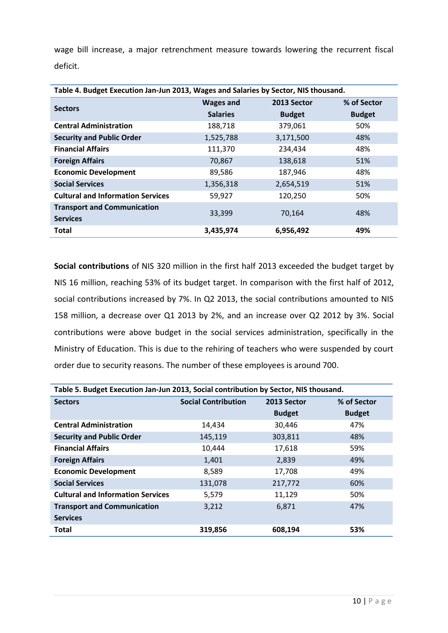wage bill increase, a major retrenchment measure towards lowering the recurrent fiscal deficit.

| Table 4. Budget Execution Jan-Jun 2013, Wages and Salaries by Sector, NIS thousand. |                  |               |               |  |
|-------------------------------------------------------------------------------------|------------------|---------------|---------------|--|
| <b>Sectors</b>                                                                      | <b>Wages and</b> | 2013 Sector   | % of Sector   |  |
|                                                                                     | <b>Salaries</b>  | <b>Budget</b> | <b>Budget</b> |  |
| <b>Central Administration</b>                                                       | 188,718          | 379,061       | 50%           |  |
| <b>Security and Public Order</b>                                                    | 1,525,788        | 3,171,500     | 48%           |  |
| <b>Financial Affairs</b>                                                            | 111,370          | 234,434       | 48%           |  |
| <b>Foreign Affairs</b>                                                              | 70,867           | 138,618       | 51%           |  |
| <b>Economic Development</b>                                                         | 89,586           | 187,946       | 48%           |  |
| <b>Social Services</b>                                                              | 1,356,318        | 2,654,519     | 51%           |  |
| <b>Cultural and Information Services</b>                                            | 59,927           | 120,250       | 50%           |  |
| <b>Transport and Communication</b>                                                  | 33,399           | 70,164        | 48%           |  |
| <b>Services</b>                                                                     |                  |               |               |  |
| Total                                                                               | 3,435,974        | 6,956,492     | 49%           |  |

**Social contributions** of NIS 320 million in the first half 2013 exceeded the budget target by NIS 16 million, reaching 53% of its budget target. In comparison with the first half of 2012, social contributions increased by 7%. In Q2 2013, the social contributions amounted to NIS 158 million, a decrease over Q1 2013 by 2%, and an increase over Q2 2012 by 3%. Social contributions were above budget in the social services administration, specifically in the Ministry of Education. This is due to the rehiring of teachers who were suspended by court order due to security reasons. The number of these employees is around 700.

| Table 5. Budget Execution Jan-Jun 2013, Social contribution by Sector, NIS thousand. |                            |               |               |  |
|--------------------------------------------------------------------------------------|----------------------------|---------------|---------------|--|
| <b>Sectors</b>                                                                       | <b>Social Contribution</b> | 2013 Sector   | % of Sector   |  |
|                                                                                      |                            | <b>Budget</b> | <b>Budget</b> |  |
| <b>Central Administration</b>                                                        | 14,434                     | 30,446        | 47%           |  |
| <b>Security and Public Order</b>                                                     | 145,119                    | 303,811       | 48%           |  |
| <b>Financial Affairs</b>                                                             | 10,444                     | 17,618        | 59%           |  |
| <b>Foreign Affairs</b>                                                               | 1.401                      | 2,839         | 49%           |  |
| <b>Economic Development</b>                                                          | 8,589                      | 17,708        | 49%           |  |
| <b>Social Services</b>                                                               | 131,078                    | 217,772       | 60%           |  |
| <b>Cultural and Information Services</b>                                             | 5,579                      | 11,129        | 50%           |  |
| <b>Transport and Communication</b>                                                   | 3,212                      | 6.871         | 47%           |  |
| <b>Services</b>                                                                      |                            |               |               |  |
| <b>Total</b>                                                                         | 319,856                    | 608,194       | 53%           |  |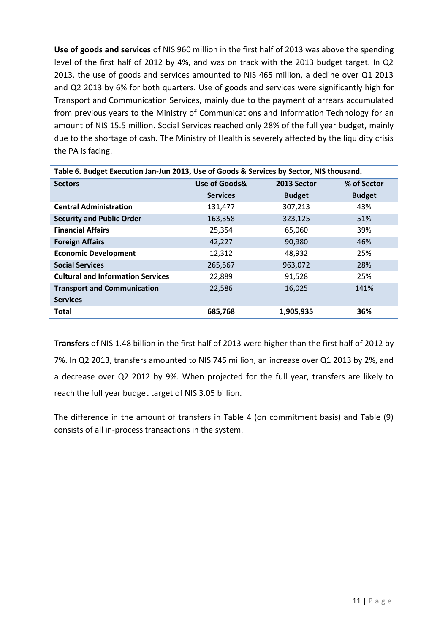**Use of goods and services** of NIS 960 million in the first half of 2013 was above the spending level of the first half of 2012 by 4%, and was on track with the 2013 budget target. In Q2 2013, the use of goods and services amounted to NIS 465 million, a decline over Q1 2013 and Q2 2013 by 6% for both quarters. Use of goods and services were significantly high for Transport and Communication Services, mainly due to the payment of arrears accumulated from previous years to the Ministry of Communications and Information Technology for an amount of NIS 15.5 million. Social Services reached only 28% of the full year budget, mainly due to the shortage of cash. The Ministry of Health is severely affected by the liquidity crisis the PA is facing.

| Table 6. Budget Execution Jan-Jun 2013, Use of Goods & Services by Sector, NIS thousand. |                 |               |               |  |
|------------------------------------------------------------------------------------------|-----------------|---------------|---------------|--|
| <b>Sectors</b>                                                                           | Use of Goods&   | 2013 Sector   | % of Sector   |  |
|                                                                                          | <b>Services</b> | <b>Budget</b> | <b>Budget</b> |  |
| <b>Central Administration</b>                                                            | 131,477         | 307,213       | 43%           |  |
| <b>Security and Public Order</b>                                                         | 163,358         | 323,125       | 51%           |  |
| <b>Financial Affairs</b>                                                                 | 25,354          | 65,060        | 39%           |  |
| <b>Foreign Affairs</b>                                                                   | 42,227          | 90,980        | 46%           |  |
| <b>Economic Development</b>                                                              | 12,312          | 48,932        | 25%           |  |
| <b>Social Services</b>                                                                   | 265,567         | 963,072       | 28%           |  |
| <b>Cultural and Information Services</b>                                                 | 22,889          | 91,528        | 25%           |  |
| <b>Transport and Communication</b>                                                       | 22,586          | 16,025        | 141%          |  |
| <b>Services</b>                                                                          |                 |               |               |  |
| <b>Total</b>                                                                             | 685,768         | 1,905,935     | 36%           |  |

**Transfers** of NIS 1.48 billion in the first half of 2013 were higher than the first half of 2012 by 7%. In Q2 2013, transfers amounted to NIS 745 million, an increase over Q1 2013 by 2%, and a decrease over Q2 2012 by 9%. When projected for the full year, transfers are likely to reach the full year budget target of NIS 3.05 billion.

The difference in the amount of transfers in Table 4 (on commitment basis) and Table (9) consists of all in-process transactions in the system.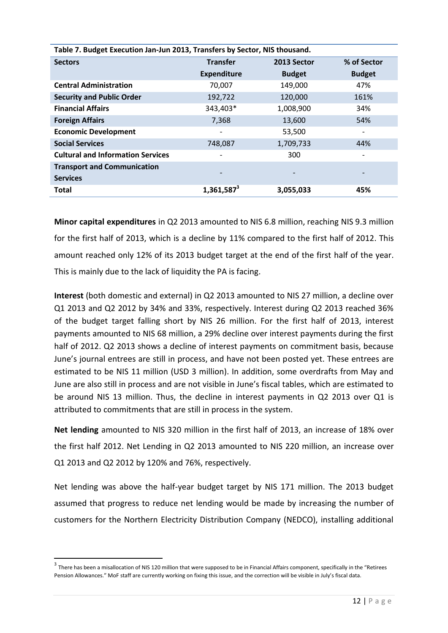| Table 7. Budget Execution Jan-Jun 2013, Transfers by Sector, NIS thousand. |                              |               |               |  |
|----------------------------------------------------------------------------|------------------------------|---------------|---------------|--|
| <b>Sectors</b>                                                             | <b>Transfer</b>              | 2013 Sector   | % of Sector   |  |
|                                                                            | <b>Expenditure</b>           | <b>Budget</b> | <b>Budget</b> |  |
| <b>Central Administration</b>                                              | 70,007                       | 149,000       | 47%           |  |
| <b>Security and Public Order</b>                                           | 192,722                      | 120,000       | 161%          |  |
| <b>Financial Affairs</b>                                                   | 343,403*                     | 1,008,900     | 34%           |  |
| <b>Foreign Affairs</b>                                                     | 7,368                        | 13,600        | 54%           |  |
| <b>Economic Development</b>                                                | $\qquad \qquad \blacksquare$ | 53,500        |               |  |
| <b>Social Services</b>                                                     | 748,087                      | 1,709,733     | 44%           |  |
| <b>Cultural and Information Services</b>                                   | $\qquad \qquad \blacksquare$ | 300           |               |  |
| <b>Transport and Communication</b>                                         | ٠                            |               |               |  |
| <b>Services</b>                                                            |                              |               |               |  |
| <b>Total</b>                                                               | 1,361,587 <sup>3</sup>       | 3,055,033     | 45%           |  |

**Minor capital expenditures** in Q2 2013 amounted to NIS 6.8 million, reaching NIS 9.3 million for the first half of 2013, which is a decline by 11% compared to the first half of 2012. This amount reached only 12% of its 2013 budget target at the end of the first half of the year. This is mainly due to the lack of liquidity the PA is facing.

**Interest** (both domestic and external) in Q2 2013 amounted to NIS 27 million, a decline over Q1 2013 and Q2 2012 by 34% and 33%, respectively. Interest during Q2 2013 reached 36% of the budget target falling short by NIS 26 million. For the first half of 2013, interest payments amounted to NIS 68 million, a 29% decline over interest payments during the first half of 2012. Q2 2013 shows a decline of interest payments on commitment basis, because June's journal entrees are still in process, and have not been posted yet. These entrees are estimated to be NIS 11 million (USD 3 million). In addition, some overdrafts from May and June are also still in process and are not visible in June's fiscal tables, which are estimated to be around NIS 13 million. Thus, the decline in interest payments in Q2 2013 over Q1 is attributed to commitments that are still in process in the system.

**Net lending** amounted to NIS 320 million in the first half of 2013, an increase of 18% over the first half 2012. Net Lending in Q2 2013 amounted to NIS 220 million, an increase over Q1 2013 and Q2 2012 by 120% and 76%, respectively.

Net lending was above the half-year budget target by NIS 171 million. The 2013 budget assumed that progress to reduce net lending would be made by increasing the number of customers for the Northern Electricity Distribution Company (NEDCO), installing additional

**.** 

 $3$  There has been a misallocation of NIS 120 million that were supposed to be in Financial Affairs component, specifically in the "Retirees Pension Allowances." MoF staff are currently working on fixing this issue, and the correction will be visible in July's fiscal data.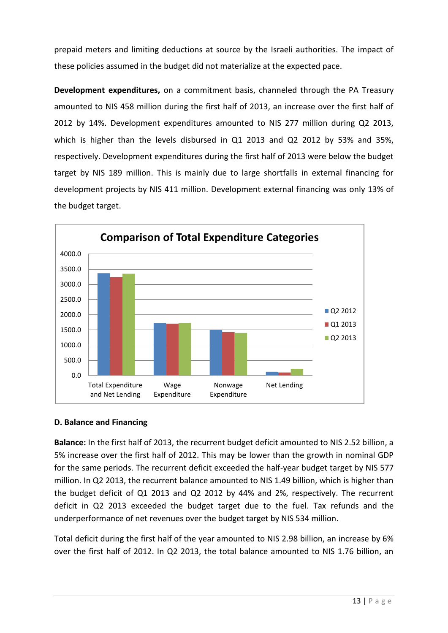prepaid meters and limiting deductions at source by the Israeli authorities. The impact of these policies assumed in the budget did not materialize at the expected pace.

**Development expenditures,** on a commitment basis, channeled through the PA Treasury amounted to NIS 458 million during the first half of 2013, an increase over the first half of 2012 by 14%. Development expenditures amounted to NIS 277 million during Q2 2013, which is higher than the levels disbursed in Q1 2013 and Q2 2012 by 53% and 35%, respectively. Development expenditures during the first half of 2013 were below the budget target by NIS 189 million. This is mainly due to large shortfalls in external financing for development projects by NIS 411 million. Development external financing was only 13% of the budget target.



#### **D. Balance and Financing**

**Balance:** In the first half of 2013, the recurrent budget deficit amounted to NIS 2.52 billion, a 5% increase over the first half of 2012. This may be lower than the growth in nominal GDP for the same periods. The recurrent deficit exceeded the half-year budget target by NIS 577 million. In Q2 2013, the recurrent balance amounted to NIS 1.49 billion, which is higher than the budget deficit of Q1 2013 and Q2 2012 by 44% and 2%, respectively. The recurrent deficit in Q2 2013 exceeded the budget target due to the fuel. Tax refunds and the underperformance of net revenues over the budget target by NIS 534 million.

Total deficit during the first half of the year amounted to NIS 2.98 billion, an increase by 6% over the first half of 2012. In Q2 2013, the total balance amounted to NIS 1.76 billion, an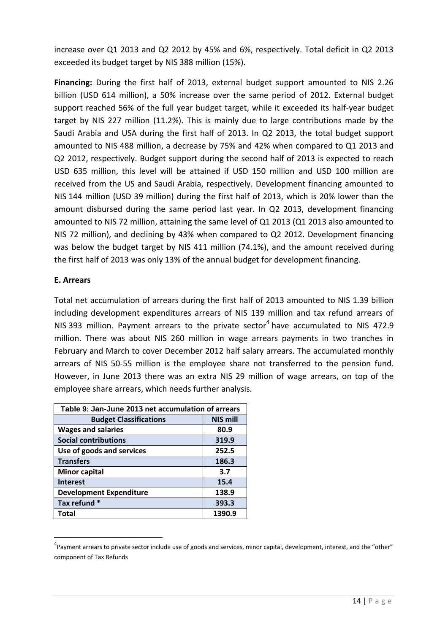increase over Q1 2013 and Q2 2012 by 45% and 6%, respectively. Total deficit in Q2 2013 exceeded its budget target by NIS 388 million (15%).

**Financing:** During the first half of 2013, external budget support amounted to NIS 2.26 billion (USD 614 million), a 50% increase over the same period of 2012. External budget support reached 56% of the full year budget target, while it exceeded its half-year budget target by NIS 227 million (11.2%). This is mainly due to large contributions made by the Saudi Arabia and USA during the first half of 2013. In Q2 2013, the total budget support amounted to NIS 488 million, a decrease by 75% and 42% when compared to Q1 2013 and Q2 2012, respectively. Budget support during the second half of 2013 is expected to reach USD 635 million, this level will be attained if USD 150 million and USD 100 million are received from the US and Saudi Arabia, respectively. Development financing amounted to NIS 144 million (USD 39 million) during the first half of 2013, which is 20% lower than the amount disbursed during the same period last year. In Q2 2013, development financing amounted to NIS 72 million, attaining the same level of Q1 2013 (Q1 2013 also amounted to NIS 72 million), and declining by 43% when compared to Q2 2012. Development financing was below the budget target by NIS 411 million (74.1%), and the amount received during the first half of 2013 was only 13% of the annual budget for development financing.

### **E. Arrears**

1

Total net accumulation of arrears during the first half of 2013 amounted to NIS 1.39 billion including development expenditures arrears of NIS 139 million and tax refund arrears of NIS 393 million. Payment arrears to the private sector<sup>4</sup> have accumulated to NIS 472.9 million. There was about NIS 260 million in wage arrears payments in two tranches in February and March to cover December 2012 half salary arrears. The accumulated monthly arrears of NIS 50-55 million is the employee share not transferred to the pension fund. However, in June 2013 there was an extra NIS 29 million of wage arrears, on top of the employee share arrears, which needs further analysis.

| Table 9: Jan-June 2013 net accumulation of arrears |                 |  |  |
|----------------------------------------------------|-----------------|--|--|
| <b>Budget Classifications</b>                      | <b>NIS mill</b> |  |  |
| <b>Wages and salaries</b>                          | 80.9            |  |  |
| <b>Social contributions</b>                        | 319.9           |  |  |
| Use of goods and services                          | 252.5           |  |  |
| <b>Transfers</b>                                   | 186.3           |  |  |
| <b>Minor capital</b>                               | 3.7             |  |  |
| <b>Interest</b>                                    | 15.4            |  |  |
| <b>Development Expenditure</b>                     | 138.9           |  |  |
| Tax refund *                                       | 393.3           |  |  |
| Total                                              | 1390.9          |  |  |

<sup>&</sup>lt;sup>4</sup>Payment arrears to private sector include use of goods and services, minor capital, development, interest, and the "other" component of Tax Refunds